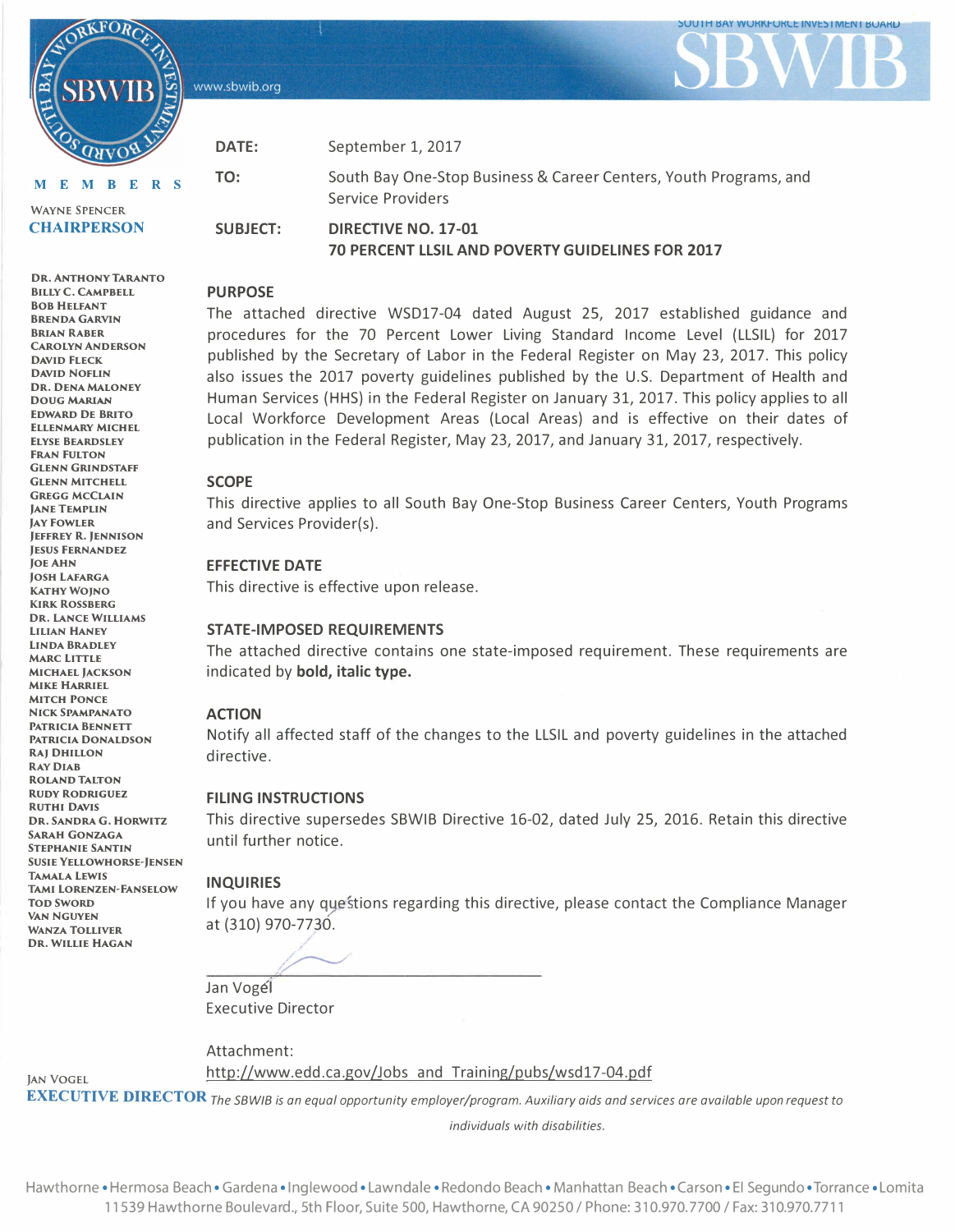www.sbwib.org

**DATE:** 

**TO:** 



**MEMBER S**  WAYNE SPENCER

RKFOR

**CHAIRPERSON** 

**DR. ANTHONY TARANTO BILLY C. CAMPBELL** 

September 1, 2017 South Bay One-Stop Business & Career Centers, Youth Programs, and

Service Providers

**DIRECTIVE NO. 17-01 70 PERCENT LLSIL AND POVERTY GUIDELINES FOR 2017** 

### **PURPOSE**

**SUBJECT:** 

The attached directive WSD17-04 dated August 25, 2017 established guidance and procedures for the 70 Percent Lower Living Standard Income Level (LLSIL) for 2017 published by the Secretary of Labor in the Federal Register on May 23, 2017. This policy also issues the 2017 poverty guidelines published by the U.S. Department of Health and Human Services (HHS) in the Federal Register on January 31, 2017. This policy applies to all Local Workforce Development Areas (Local Areas) and is effective on their dates of publication in the Federal Register, May 23, 2017, and January 31, 2017, respectively.

### **SCOPE**

This directive applies to all South Bay One-Stop Business Career Centers, Youth Programs and Services Provider(s).

### **EFFECTIVE DATE**

This directive is effective upon release.

### **STATE-IMPOSED REQUIREMENTS**

The attached directive contains one state-imposed requirement. These requirements are indicated by **bold, italic type.**

### **ACTION**

Notify all affected staff of the changes to the LLSIL and poverty guidelines in the attached directive.

### **FILING INSTRUCTIONS**

This directive supersedes SBWIB Directive 16-02, dated July 25, 2016. Retain this directive until further notice.

### **INQUIRIES**

If you have any questions regarding this directive, please contact the Compliance Manager at (310) 970-7730.

Jan Vogél Executive Director

Attachment:

http://www.edd.ca.gov/Jobs and Training/pubs/wsd17-04.pdf

**EXECUTIVE DIRECTOR** *The SBWIB is an equal opportunity employer/program. Auxiliary aids and services are available upon request to* 

*individuals with disabilities.* 

**808 HELFANT BRENDA GARVIN BRIAN RABER CAROLYN ANDERSON DAVID FLECK DAVID NOFLIN DR. DENA MALONEY DOUG MARIAN EDWARD DE BRITO ELLENMARY MICHEL ELYSE BEARDSLEY FRAN FULTON GLENN GRINDSTAFF GLENN MITCHELL GREGG MCCLAIN**  *JANE TEMPLIN* **JAY FOWLER JEFFREY R. JENNISON JESUS FERNANDEZ JOE AHN JOSH LAFARGA KATHY WOINO KIRK ROSSBERG DR. LANCE WILLIAMS LILIAN HANEY LINDA BRADLEY MARC LITTLE MICHAEL JACKSON MIKE HARRIEL MITCH PONCE NICK SPAMPANATO PATRICIA BENNETT PATRICIA DONALDSON RAJ DHILLON RAY DIAB ROLAND TALTON RUDY RODRIGUEZ RUTHI DAVIS DR. SANORA G. HORWITZ SARAH GONZAGA STEPHANIE SANTIN TAMAL A LEWIS SUSIE YELLOWHORSE-JENSEN TAMI LORENZEN-FANSELOW TOD SWORD VAN NGUYEN WANZA TOLLIVER DR. WILLIE HAGAN** 

JAN VOGEL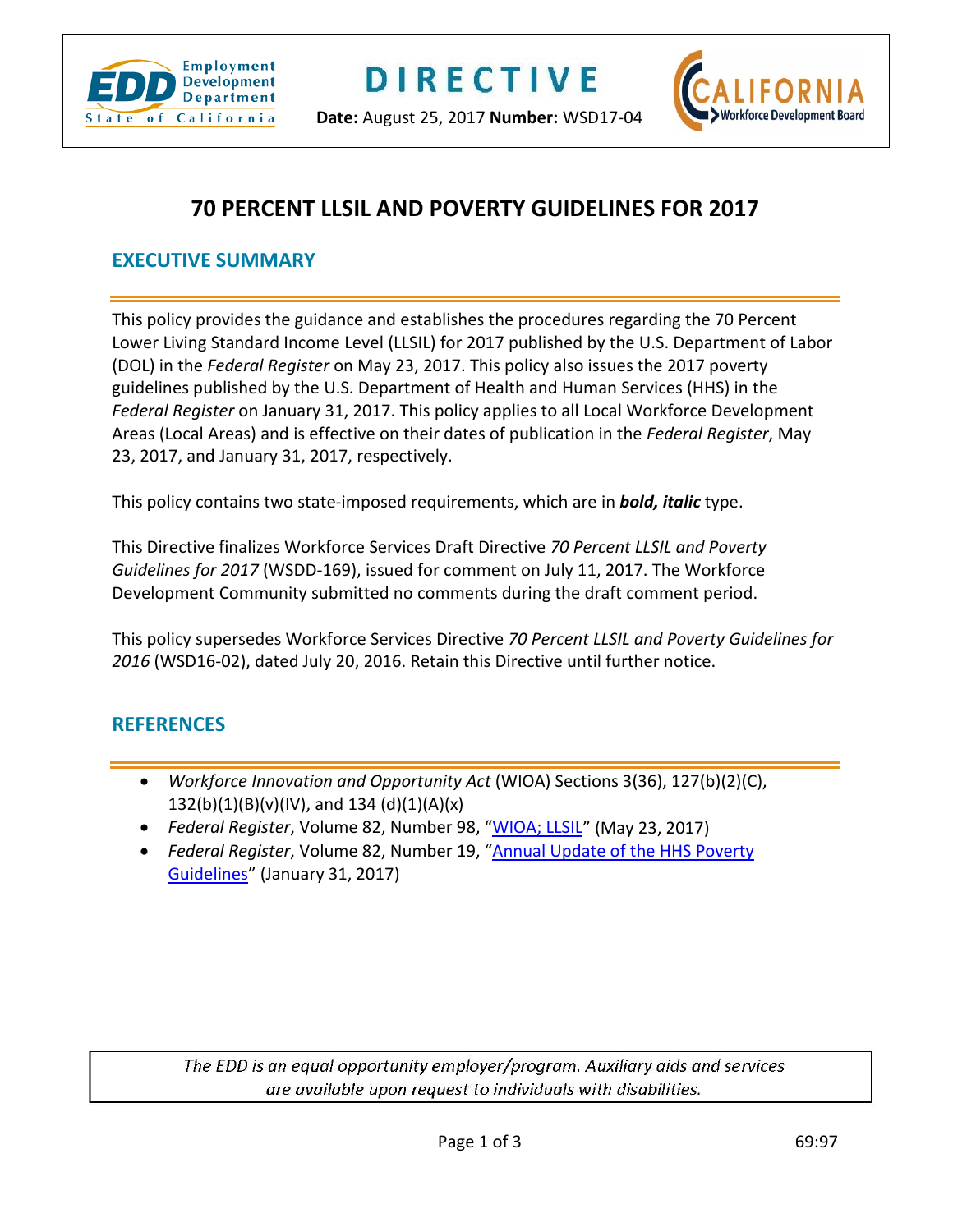

**Date:** August 25, 2017 **Number:** WSD17-04



# **70 PERCENT LLSIL AND POVERTY GUIDELINES FOR 2017**

### **EXECUTIVE SUMMARY**

This policy provides the guidance and establishes the procedures regarding the 70 Percent Lower Living Standard Income Level (LLSIL) for 2017 published by the U.S. Department of Labor (DOL) in the *Federal Register* on May 23, 2017. This policy also issues the 2017 poverty guidelines published by the U.S. Department of Health and Human Services (HHS) in the *Federal Register* on January 31, 2017. This policy applies to all Local Workforce Development Areas (Local Areas) and is effective on their dates of publication in the *Federal Register*, May 23, 2017, and January 31, 2017, respectively.

This policy contains two state-imposed requirements, which are in *bold, italic* type.

This Directive finalizes Workforce Services Draft Directive *70 Percent LLSIL and Poverty Guidelines for 2017* (WSDD-169), issued for comment on July 11, 2017. The Workforce Development Community submitted no comments during the draft comment period.

This policy supersedes Workforce Services Directive *70 Percent LLSIL and Poverty Guidelines for 2016* (WSD16-02), dated July 20, 2016. Retain this Directive until further notice.

## **REFERENCES**

- *Workforce Innovation and Opportunity Act* (WIOA) Sections 3(36), 127(b)(2)(C), 132(b)(1)(B)(v)(IV), and 134 (d)(1)(A)(x)
- *Federal Register*, Volume 82, Number 98, ["WIOA; LLSIL"](https://www.doleta.gov/llsil/2017_Federal_Register_Notice.pdf) (May 23, 2017)
- *Federal Register*, Volume 82, Number 19, ["Annual Update of the HHS Poverty](http://familiesusa.org/sites/default/files/product_documents/2017-02076.pdf)  [Guidelines"](http://familiesusa.org/sites/default/files/product_documents/2017-02076.pdf) (January 31, 2017)

The EDD is an equal opportunity employer/program. Auxiliary aids and services are available upon request to individuals with disabilities.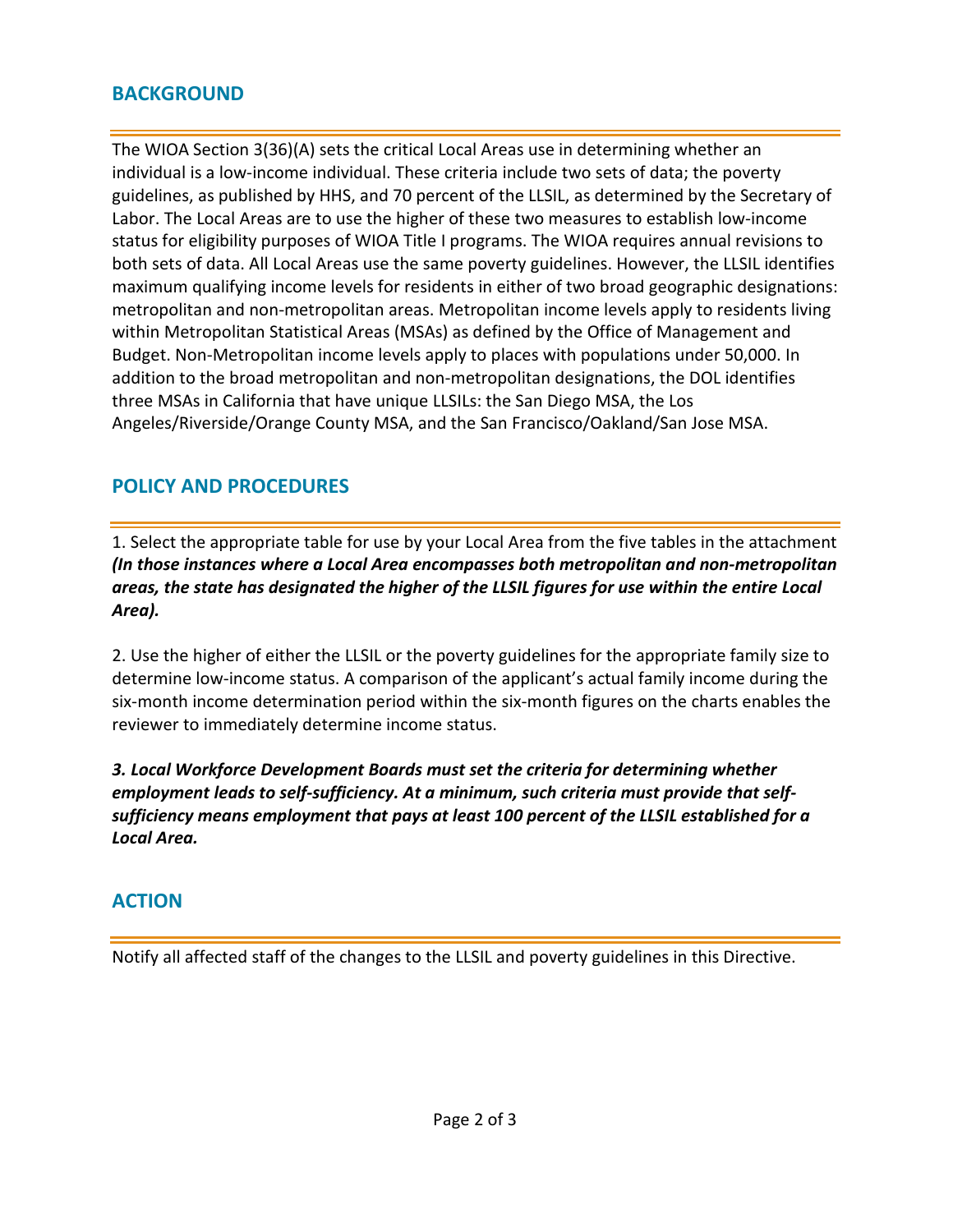## **BACKGROUND**

The WIOA Section 3(36)(A) sets the critical Local Areas use in determining whether an individual is a low-income individual. These criteria include two sets of data; the poverty guidelines, as published by HHS, and 70 percent of the LLSIL, as determined by the Secretary of Labor. The Local Areas are to use the higher of these two measures to establish low-income status for eligibility purposes of WIOA Title I programs. The WIOA requires annual revisions to both sets of data. All Local Areas use the same poverty guidelines. However, the LLSIL identifies maximum qualifying income levels for residents in either of two broad geographic designations: metropolitan and non-metropolitan areas. Metropolitan income levels apply to residents living within Metropolitan Statistical Areas (MSAs) as defined by the Office of Management and Budget. Non-Metropolitan income levels apply to places with populations under 50,000. In addition to the broad metropolitan and non-metropolitan designations, the DOL identifies three MSAs in California that have unique LLSILs: the San Diego MSA, the Los Angeles/Riverside/Orange County MSA, and the San Francisco/Oakland/San Jose MSA.

## **POLICY AND PROCEDURES**

1. Select the appropriate table for use by your Local Area from the five tables in the attachment *(In those instances where a Local Area encompasses both metropolitan and non-metropolitan areas, the state has designated the higher of the LLSIL figures for use within the entire Local Area).*

2. Use the higher of either the LLSIL or the poverty guidelines for the appropriate family size to determine low-income status. A comparison of the applicant's actual family income during the six-month income determination period within the six-month figures on the charts enables the reviewer to immediately determine income status.

*3. Local Workforce Development Boards must set the criteria for determining whether employment leads to self-sufficiency. At a minimum, such criteria must provide that selfsufficiency means employment that pays at least 100 percent of the LLSIL established for a Local Area.*

## **ACTION**

Notify all affected staff of the changes to the LLSIL and poverty guidelines in this Directive.